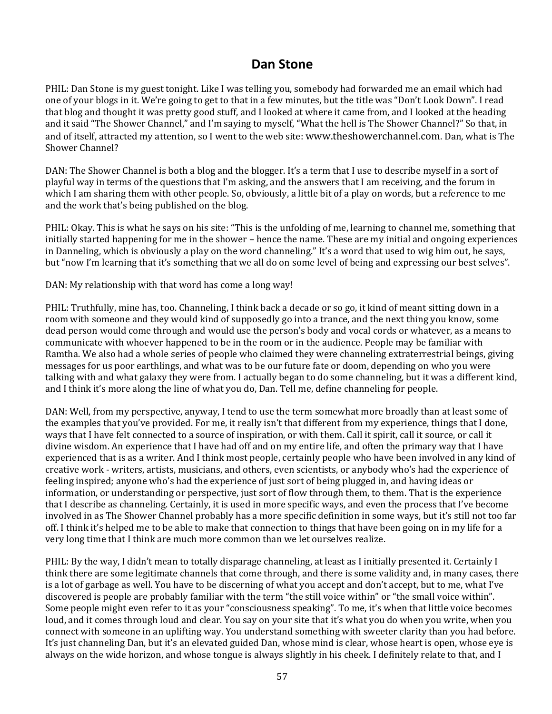# **Dan Stone**

PHIL: Dan Stone is my guest tonight. Like I was telling you, somebody had forwarded me an email which had one of your blogs in it. We're going to get to that in a few minutes, but the title was "Don't Look Down". I read that blog and thought it was pretty good stuff, and I looked at where it came from, and I looked at the heading and it said "The Shower Channel," and I'm saying to myself, "What the hell is The Shower Channel?" So that, in and of itself, attracted my attention, so I went to the web site: www.theshowerchannel.com. Dan, what is The Shower Channel?

DAN: The Shower Channel is both a blog and the blogger. It's a term that I use to describe myself in a sort of playful way in terms of the questions that I'm asking, and the answers that I am receiving, and the forum in which I am sharing them with other people. So, obviously, a little bit of a play on words, but a reference to me and the work that's being published on the blog.

PHIL: Okay. This is what he says on his site: "This is the unfolding of me, learning to channel me, something that initially started happening for me in the shower – hence the name. These are my initial and ongoing experiences in Danneling, which is obviously a play on the word channeling." It's a word that used to wig him out, he says, but "now I'm learning that it's something that we all do on some level of being and expressing our best selves".

DAN: My relationship with that word has come a long way!

PHIL: Truthfully, mine has, too. Channeling, I think back a decade or so go, it kind of meant sitting down in a room with someone and they would kind of supposedly go into a trance, and the next thing you know, some dead person would come through and would use the person's body and vocal cords or whatever, as a means to communicate with whoever happened to be in the room or in the audience. People may be familiar with Ramtha. We also had a whole series of people who claimed they were channeling extraterrestrial beings, giving messages for us poor earthlings, and what was to be our future fate or doom, depending on who you were talking with and what galaxy they were from. I actually began to do some channeling, but it was a different kind, and I think it's more along the line of what you do, Dan. Tell me, define channeling for people.

DAN: Well, from my perspective, anyway, I tend to use the term somewhat more broadly than at least some of the examples that you've provided. For me, it really isn't that different from my experience, things that I done, ways that I have felt connected to a source of inspiration, or with them. Call it spirit, call it source, or call it divine wisdom. An experience that I have had off and on my entire life, and often the primary way that I have experienced that is as a writer. And I think most people, certainly people who have been involved in any kind of creative work ‐ writers, artists, musicians, and others, even scientists, or anybody who's had the experience of feeling inspired; anyone who's had the experience of just sort of being plugged in, and having ideas or information, or understanding or perspective, just sort of flow through them, to them. That is the experience that I describe as channeling. Certainly, it is used in more specific ways, and even the process that I've become involved in as The Shower Channel probably has a more specific definition in some ways, but it's still not too far off. I think it's helped me to be able to make that connection to things that have been going on in my life for a very long time that I think are much more common than we let ourselves realize.

PHIL: By the way, I didn't mean to totally disparage channeling, at least as I initially presented it. Certainly I think there are some legitimate channels that come through, and there is some validity and, in many cases, there is a lot of garbage as well. You have to be discerning of what you accept and don't accept, but to me, what I've discovered is people are probably familiar with the term "the still voice within" or "the small voice within". Some people might even refer to it as your "consciousness speaking". To me, it's when that little voice becomes loud, and it comes through loud and clear. You say on your site that it's what you do when you write, when you connect with someone in an uplifting way. You understand something with sweeter clarity than you had before. It's just channeling Dan, but it's an elevated guided Dan, whose mind is clear, whose heart is open, whose eye is always on the wide horizon, and whose tongue is always slightly in his cheek. I definitely relate to that, and I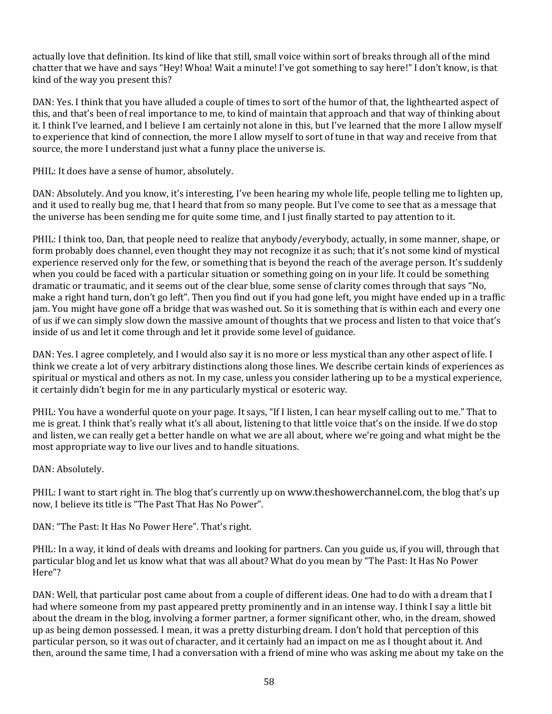actually love that definition. Its kind of like that still, small voice within sort of breaks through all of the mind chatter that we have and says "Hey! Whoa! Wait a minute! I've got something to say here!" I don't know, is that kind of the way you present this?

DAN: Yes. I think that you have alluded a couple of times to sort of the humor of that, the lighthearted aspect of this, and that's been of real importance to me, to kind of maintain that approach and that way of thinking about it. I think I've learned, and I believe I am certainly not alone in this, but I've learned that the more I allow myself to experience that kind of connection, the more I allow myself to sort of tune in that way and receive from that source, the more I understand just what a funny place the universe is.

PHIL: It does have a sense of humor, absolutely.

DAN: Absolutely. And you know, it's interesting, I've been hearing my whole life, people telling me to lighten up, and it used to really bug me, that I heard that from so many people. But I've come to see that as a message that the universe has been sending me for quite some time, and I just finally started to pay attention to it.

PHIL: I think too, Dan, that people need to realize that anybody/everybody, actually, in some manner, shape, or form probably does channel, even thought they may not recognize it as such; that it's not some kind of mystical experience reserved only for the few, or something that is beyond the reach of the average person. It's suddenly when you could be faced with a particular situation or something going on in your life. It could be something dramatic or traumatic, and it seems out of the clear blue, some sense of clarity comes through that says "No, make a right hand turn, don't go left". Then you find out if you had gone left, you might have ended up in a traffic jam. You might have gone off a bridge that was washed out. So it is something that is within each and every one of us if we can simply slow down the massive amount of thoughts that we process and listen to that voice that's inside of us and let it come through and let it provide some level of guidance.

DAN: Yes. I agree completely, and I would also say it is no more or less mystical than any other aspect of life. I think we create a lot of very arbitrary distinctions along those lines. We describe certain kinds of experiences as spiritual or mystical and others as not. In my case, unless you consider lathering up to be a mystical experience, it certainly didn't begin for me in any particularly mystical or esoteric way.

PHIL: You have a wonderful quote on your page. It says, "If I listen, I can hear myself calling out to me." That to me is great. I think that's really what it's all about, listening to that little voice that's on the inside. If we do stop and listen, we can really get a better handle on what we are all about, where we're going and what might be the most appropriate way to live our lives and to handle situations.

# DAN: Absolutely.

PHIL: I want to start right in. The blog that's currently up on www.theshowerchannel.com, the blog that's up now, I believe its title is "The Past That Has No Power".

DAN: "The Past: It Has No Power Here". That's right.

PHIL: In a way, it kind of deals with dreams and looking for partners. Can you guide us, if you will, through that particular blog and let us know what that was all about? What do you mean by "The Past: It Has No Power Here"?

DAN: Well, that particular post came about from a couple of different ideas. One had to do with a dream that I had where someone from my past appeared pretty prominently and in an intense way. I think I say a little bit about the dream in the blog, involving a former partner, a former significant other, who, in the dream, showed up as being demon possessed. I mean, it was a pretty disturbing dream. I don't hold that perception of this particular person, so it was out of character, and it certainly had an impact on me as I thought about it. And then, around the same time, I had a conversation with a friend of mine who was asking me about my take on the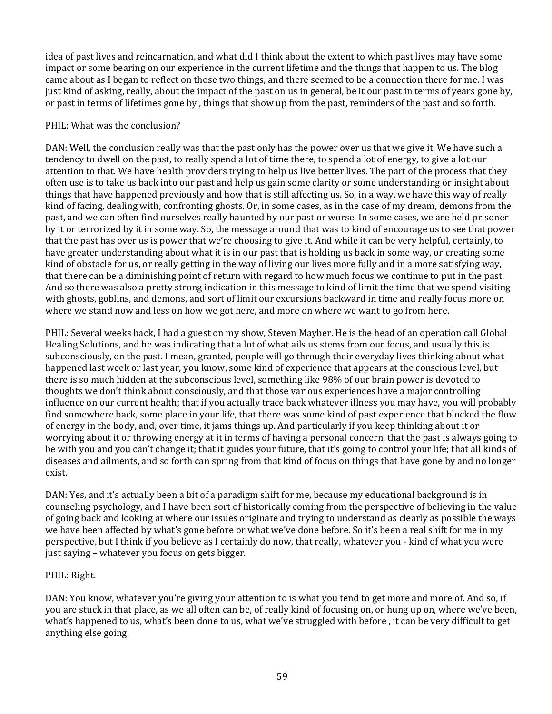idea of past lives and reincarnation, and what did I think about the extent to which past lives may have some impact or some bearing on our experience in the current lifetime and the things that happen to us. The blog came about as I began to reflect on those two things, and there seemed to be a connection there for me. I was just kind of asking, really, about the impact of the past on us in general, be it our past in terms of years gone by, or past in terms of lifetimes gone by , things that show up from the past, reminders of the past and so forth.

### PHIL: What was the conclusion?

DAN: Well, the conclusion really was that the past only has the power over us that we give it. We have such a tendency to dwell on the past, to really spend a lot of time there, to spend a lot of energy, to give a lot our attention to that. We have health providers trying to help us live better lives. The part of the process that they often use is to take us back into our past and help us gain some clarity or some understanding or insight about things that have happened previously and how that is still affecting us. So, in a way, we have this way of really kind of facing, dealing with, confronting ghosts. Or, in some cases, as in the case of my dream, demons from the past, and we can often find ourselves really haunted by our past or worse. In some cases, we are held prisoner by it or terrorized by it in some way. So, the message around that was to kind of encourage us to see that power that the past has over us is power that we're choosing to give it. And while it can be very helpful, certainly, to have greater understanding about what it is in our past that is holding us back in some way, or creating some kind of obstacle for us, or really getting in the way of living our lives more fully and in a more satisfying way, that there can be a diminishing point of return with regard to how much focus we continue to put in the past. And so there was also a pretty strong indication in this message to kind of limit the time that we spend visiting with ghosts, goblins, and demons, and sort of limit our excursions backward in time and really focus more on where we stand now and less on how we got here, and more on where we want to go from here.

PHIL: Several weeks back, I had a guest on my show, Steven Mayber. He is the head of an operation call Global Healing Solutions, and he was indicating that a lot of what ails us stems from our focus, and usually this is subconsciously, on the past. I mean, granted, people will go through their everyday lives thinking about what happened last week or last year, you know, some kind of experience that appears at the conscious level, but there is so much hidden at the subconscious level, something like 98% of our brain power is devoted to thoughts we don't think about consciously, and that those various experiences have a major controlling influence on our current health; that if you actually trace back whatever illness you may have, you will probably find somewhere back, some place in your life, that there was some kind of past experience that blocked the flow of energy in the body, and, over time, it jams things up. And particularly if you keep thinking about it or worrying about it or throwing energy at it in terms of having a personal concern, that the past is always going to be with you and you can't change it; that it guides your future, that it's going to control your life; that all kinds of diseases and ailments, and so forth can spring from that kind of focus on things that have gone by and no longer exist.

DAN: Yes, and it's actually been a bit of a paradigm shift for me, because my educational background is in counseling psychology, and I have been sort of historically coming from the perspective of believing in the value of going back and looking at where our issues originate and trying to understand as clearly as possible the ways we have been affected by what's gone before or what we've done before. So it's been a real shift for me in my perspective, but I think if you believe as I certainly do now, that really, whatever you ‐ kind of what you were just saying – whatever you focus on gets bigger.

# PHIL: Right.

DAN: You know, whatever you're giving your attention to is what you tend to get more and more of. And so, if you are stuck in that place, as we all often can be, of really kind of focusing on, or hung up on, where we've been, what's happened to us, what's been done to us, what we've struggled with before , it can be very difficult to get anything else going.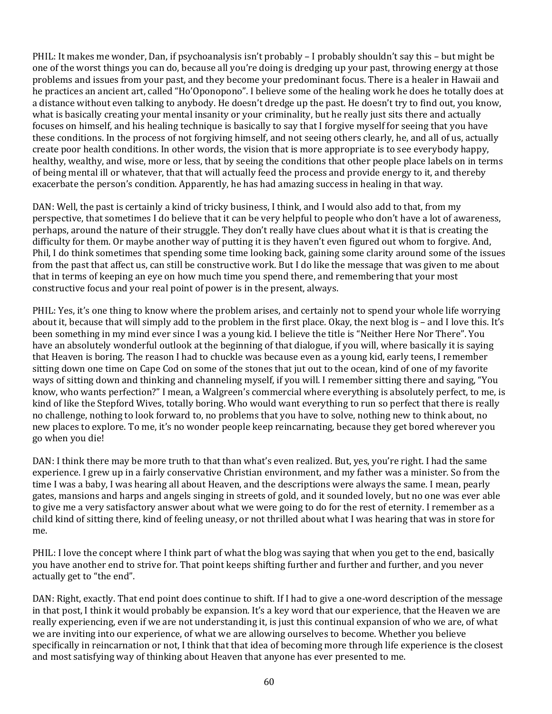PHIL: It makes me wonder, Dan, if psychoanalysis isn't probably – I probably shouldn't say this – but might be one of the worst things you can do, because all you're doing is dredging up your past, throwing energy at those problems and issues from your past, and they become your predominant focus. There is a healer in Hawaii and he practices an ancient art, called "Ho'Oponopono". I believe some of the healing work he does he totally does at a distance without even talking to anybody. He doesn't dredge up the past. He doesn't try to find out, you know, what is basically creating your mental insanity or your criminality, but he really just sits there and actually focuses on himself, and his healing technique is basically to say that I forgive myself for seeing that you have these conditions. In the process of not forgiving himself, and not seeing others clearly, he, and all of us, actually create poor health conditions. In other words, the vision that is more appropriate is to see everybody happy, healthy, wealthy, and wise, more or less, that by seeing the conditions that other people place labels on in terms of being mental ill or whatever, that that will actually feed the process and provide energy to it, and thereby exacerbate the person's condition. Apparently, he has had amazing success in healing in that way.

DAN: Well, the past is certainly a kind of tricky business, I think, and I would also add to that, from my perspective, that sometimes I do believe that it can be very helpful to people who don't have a lot of awareness, perhaps, around the nature of their struggle. They don't really have clues about what it is that is creating the difficulty for them. Or maybe another way of putting it is they haven't even figured out whom to forgive. And, Phil, I do think sometimes that spending some time looking back, gaining some clarity around some of the issues from the past that affect us, can still be constructive work. But I do like the message that was given to me about that in terms of keeping an eye on how much time you spend there, and remembering that your most constructive focus and your real point of power is in the present, always.

PHIL: Yes, it's one thing to know where the problem arises, and certainly not to spend your whole life worrying about it, because that will simply add to the problem in the first place. Okay, the next blog is – and I love this. It's been something in my mind ever since I was a young kid. I believe the title is "Neither Here Nor There". You have an absolutely wonderful outlook at the beginning of that dialogue, if you will, where basically it is saying that Heaven is boring. The reason I had to chuckle was because even as a young kid, early teens, I remember sitting down one time on Cape Cod on some of the stones that jut out to the ocean, kind of one of my favorite ways of sitting down and thinking and channeling myself, if you will. I remember sitting there and saying, "You know, who wants perfection?" I mean, a Walgreen's commercial where everything is absolutely perfect, to me, is kind of like the Stepford Wives, totally boring. Who would want everything to run so perfect that there is really no challenge, nothing to look forward to, no problems that you have to solve, nothing new to think about, no new places to explore. To me, it's no wonder people keep reincarnating, because they get bored wherever you go when you die!

DAN: I think there may be more truth to that than what's even realized. But, yes, you're right. I had the same experience. I grew up in a fairly conservative Christian environment, and my father was a minister. So from the time I was a baby, I was hearing all about Heaven, and the descriptions were always the same. I mean, pearly gates, mansions and harps and angels singing in streets of gold, and it sounded lovely, but no one was ever able to give me a very satisfactory answer about what we were going to do for the rest of eternity. I remember as a child kind of sitting there, kind of feeling uneasy, or not thrilled about what I was hearing that was in store for me.

PHIL: I love the concept where I think part of what the blog was saying that when you get to the end, basically you have another end to strive for. That point keeps shifting further and further and further, and you never actually get to "the end".

DAN: Right, exactly. That end point does continue to shift. If I had to give a one-word description of the message in that post, I think it would probably be expansion. It's a key word that our experience, that the Heaven we are really experiencing, even if we are not understanding it, is just this continual expansion of who we are, of what we are inviting into our experience, of what we are allowing ourselves to become. Whether you believe specifically in reincarnation or not, I think that that idea of becoming more through life experience is the closest and most satisfying way of thinking about Heaven that anyone has ever presented to me.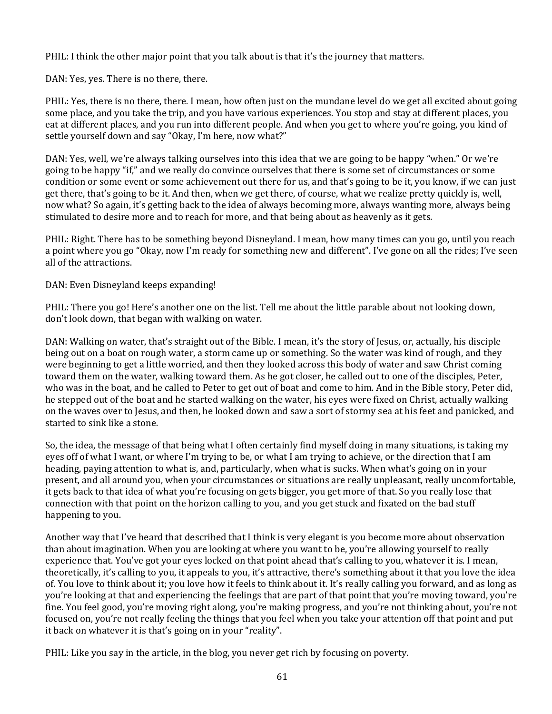PHIL: I think the other major point that you talk about is that it's the journey that matters.

DAN: Yes, yes. There is no there, there.

PHIL: Yes, there is no there, there. I mean, how often just on the mundane level do we get all excited about going some place, and you take the trip, and you have various experiences. You stop and stay at different places, you eat at different places, and you run into different people. And when you get to where you're going, you kind of settle yourself down and say "Okay, I'm here, now what?"

DAN: Yes, well, we're always talking ourselves into this idea that we are going to be happy "when." Or we're going to be happy "if," and we really do convince ourselves that there is some set of circumstances or some condition or some event or some achievement out there for us, and that's going to be it, you know, if we can just get there, that's going to be it. And then, when we get there, of course, what we realize pretty quickly is, well, now what? So again, it's getting back to the idea of always becoming more, always wanting more, always being stimulated to desire more and to reach for more, and that being about as heavenly as it gets.

PHIL: Right. There has to be something beyond Disneyland. I mean, how many times can you go, until you reach a point where you go "Okay, now I'm ready for something new and different". I've gone on all the rides; I've seen all of the attractions.

DAN: Even Disneyland keeps expanding!

PHIL: There you go! Here's another one on the list. Tell me about the little parable about not looking down, don't look down, that began with walking on water.

DAN: Walking on water, that's straight out of the Bible. I mean, it's the story of Jesus, or, actually, his disciple being out on a boat on rough water, a storm came up or something. So the water was kind of rough, and they were beginning to get a little worried, and then they looked across this body of water and saw Christ coming toward them on the water, walking toward them. As he got closer, he called out to one of the disciples, Peter, who was in the boat, and he called to Peter to get out of boat and come to him. And in the Bible story, Peter did, he stepped out of the boat and he started walking on the water, his eyes were fixed on Christ, actually walking on the waves over to Jesus, and then, he looked down and saw a sort of stormy sea at his feet and panicked, and started to sink like a stone.

So, the idea, the message of that being what I often certainly find myself doing in many situations, is taking my eyes off of what I want, or where I'm trying to be, or what I am trying to achieve, or the direction that I am heading, paying attention to what is, and, particularly, when what is sucks. When what's going on in your present, and all around you, when your circumstances or situations are really unpleasant, really uncomfortable, it gets back to that idea of what you're focusing on gets bigger, you get more of that. So you really lose that connection with that point on the horizon calling to you, and you get stuck and fixated on the bad stuff happening to you.

Another way that I've heard that described that I think is very elegant is you become more about observation than about imagination. When you are looking at where you want to be, you're allowing yourself to really experience that. You've got your eyes locked on that point ahead that's calling to you, whatever it is. I mean, theoretically, it's calling to you, it appeals to you, it's attractive, there's something about it that you love the idea of. You love to think about it; you love how it feels to think about it. It's really calling you forward, and as long as you're looking at that and experiencing the feelings that are part of that point that you're moving toward, you're fine. You feel good, you're moving right along, you're making progress, and you're not thinking about, you're not focused on, you're not really feeling the things that you feel when you take your attention off that point and put it back on whatever it is that's going on in your "reality".

PHIL: Like you say in the article, in the blog, you never get rich by focusing on poverty.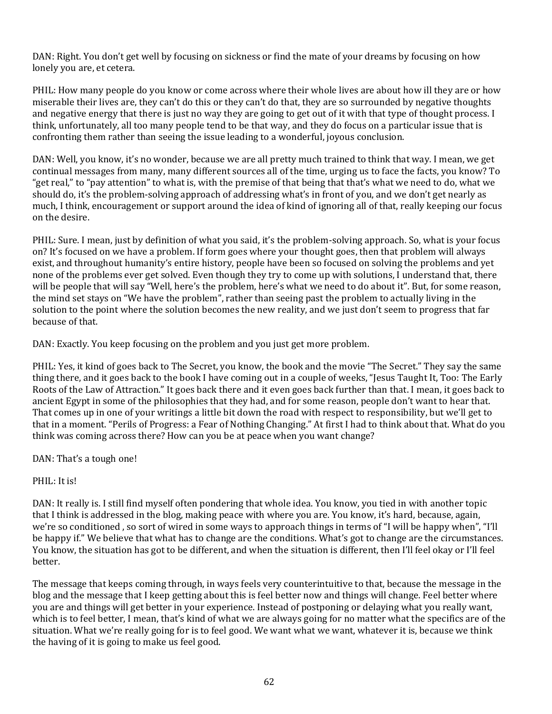DAN: Right. You don't get well by focusing on sickness or find the mate of your dreams by focusing on how lonely you are, et cetera.

PHIL: How many people do you know or come across where their whole lives are about how ill they are or how miserable their lives are, they can't do this or they can't do that, they are so surrounded by negative thoughts and negative energy that there is just no way they are going to get out of it with that type of thought process. I think, unfortunately, all too many people tend to be that way, and they do focus on a particular issue that is confronting them rather than seeing the issue leading to a wonderful, joyous conclusion.

DAN: Well, you know, it's no wonder, because we are all pretty much trained to think that way. I mean, we get continual messages from many, many different sources all of the time, urging us to face the facts, you know? To "get real," to "pay attention" to what is, with the premise of that being that that's what we need to do, what we should do, it's the problem‐solving approach of addressing what's in front of you, and we don't get nearly as much, I think, encouragement or support around the idea of kind of ignoring all of that, really keeping our focus on the desire.

PHIL: Sure. I mean, just by definition of what you said, it's the problem‐solving approach. So, what is your focus on? It's focused on we have a problem. If form goes where your thought goes, then that problem will always exist, and throughout humanity's entire history, people have been so focused on solving the problems and yet none of the problems ever get solved. Even though they try to come up with solutions, I understand that, there will be people that will say "Well, here's the problem, here's what we need to do about it". But, for some reason, the mind set stays on "We have the problem", rather than seeing past the problem to actually living in the solution to the point where the solution becomes the new reality, and we just don't seem to progress that far because of that.

DAN: Exactly. You keep focusing on the problem and you just get more problem.

PHIL: Yes, it kind of goes back to The Secret, you know, the book and the movie "The Secret." They say the same thing there, and it goes back to the book I have coming out in a couple of weeks, "Jesus Taught It, Too: The Early Roots of the Law of Attraction." It goes back there and it even goes back further than that. I mean, it goes back to ancient Egypt in some of the philosophies that they had, and for some reason, people don't want to hear that. That comes up in one of your writings a little bit down the road with respect to responsibility, but we'll get to that in a moment. "Perils of Progress: a Fear of Nothing Changing." At first I had to think about that. What do you think was coming across there? How can you be at peace when you want change?

DAN: That's a tough one!

PHIL: It is!

DAN: It really is. I still find myself often pondering that whole idea. You know, you tied in with another topic that I think is addressed in the blog, making peace with where you are. You know, it's hard, because, again, we're so conditioned , so sort of wired in some ways to approach things in terms of "I will be happy when", "I'll be happy if." We believe that what has to change are the conditions. What's got to change are the circumstances. You know, the situation has got to be different, and when the situation is different, then I'll feel okay or I'll feel better.

The message that keeps coming through, in ways feels very counterintuitive to that, because the message in the blog and the message that I keep getting about this is feel better now and things will change. Feel better where you are and things will get better in your experience. Instead of postponing or delaying what you really want, which is to feel better, I mean, that's kind of what we are always going for no matter what the specifics are of the situation. What we're really going for is to feel good. We want what we want, whatever it is, because we think the having of it is going to make us feel good.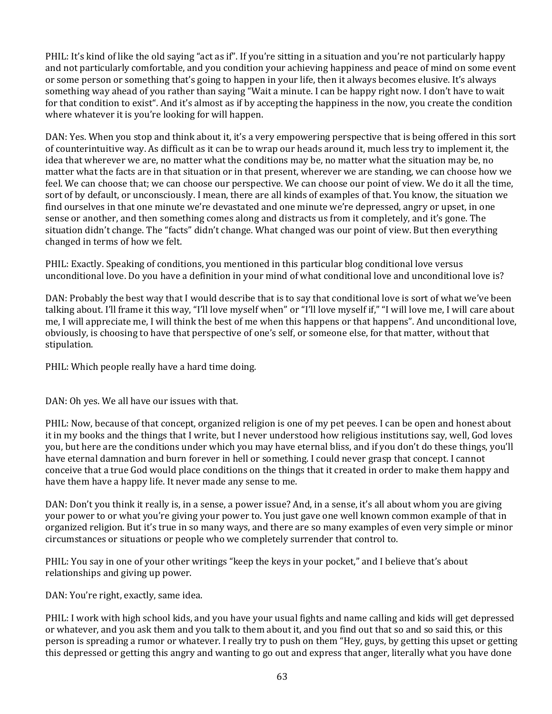PHIL: It's kind of like the old saying "act as if". If you're sitting in a situation and you're not particularly happy and not particularly comfortable, and you condition your achieving happiness and peace of mind on some event or some person or something that's going to happen in your life, then it always becomes elusive. It's always something way ahead of you rather than saying "Wait a minute. I can be happy right now. I don't have to wait for that condition to exist". And it's almost as if by accepting the happiness in the now, you create the condition where whatever it is you're looking for will happen.

DAN: Yes. When you stop and think about it, it's a very empowering perspective that is being offered in this sort of counterintuitive way. As difficult as it can be to wrap our heads around it, much less try to implement it, the idea that wherever we are, no matter what the conditions may be, no matter what the situation may be, no matter what the facts are in that situation or in that present, wherever we are standing, we can choose how we feel. We can choose that; we can choose our perspective. We can choose our point of view. We do it all the time, sort of by default, or unconsciously. I mean, there are all kinds of examples of that. You know, the situation we find ourselves in that one minute we're devastated and one minute we're depressed, angry or upset, in one sense or another, and then something comes along and distracts us from it completely, and it's gone. The situation didn't change. The "facts" didn't change. What changed was our point of view. But then everything changed in terms of how we felt.

PHIL: Exactly. Speaking of conditions, you mentioned in this particular blog conditional love versus unconditional love. Do you have a definition in your mind of what conditional love and unconditional love is?

DAN: Probably the best way that I would describe that is to say that conditional love is sort of what we've been talking about. I'll frame it this way, "I'll love myself when" or "I'll love myself if," "I will love me, I will care about me, I will appreciate me, I will think the best of me when this happens or that happens". And unconditional love, obviously, is choosing to have that perspective of one's self, or someone else, for that matter, without that stipulation.

PHIL: Which people really have a hard time doing.

DAN: Oh yes. We all have our issues with that.

PHIL: Now, because of that concept, organized religion is one of my pet peeves. I can be open and honest about it in my books and the things that I write, but I never understood how religious institutions say, well, God loves you, but here are the conditions under which you may have eternal bliss, and if you don't do these things, you'll have eternal damnation and burn forever in hell or something. I could never grasp that concept. I cannot conceive that a true God would place conditions on the things that it created in order to make them happy and have them have a happy life. It never made any sense to me.

DAN: Don't you think it really is, in a sense, a power issue? And, in a sense, it's all about whom you are giving your power to or what you're giving your power to. You just gave one well known common example of that in organized religion. But it's true in so many ways, and there are so many examples of even very simple or minor circumstances or situations or people who we completely surrender that control to.

PHIL: You say in one of your other writings "keep the keys in your pocket," and I believe that's about relationships and giving up power.

DAN: You're right, exactly, same idea.

PHIL: I work with high school kids, and you have your usual fights and name calling and kids will get depressed or whatever, and you ask them and you talk to them about it, and you find out that so and so said this, or this person is spreading a rumor or whatever. I really try to push on them "Hey, guys, by getting this upset or getting this depressed or getting this angry and wanting to go out and express that anger, literally what you have done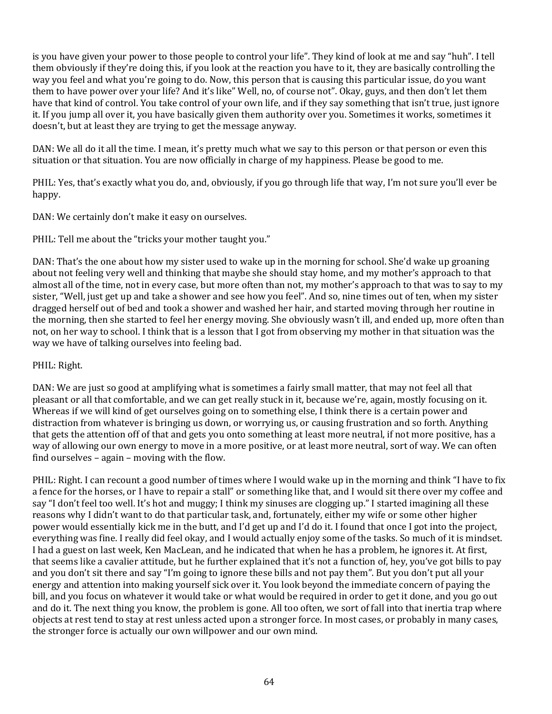is you have given your power to those people to control your life". They kind of look at me and say "huh". I tell them obviously if they're doing this, if you look at the reaction you have to it, they are basically controlling the way you feel and what you're going to do. Now, this person that is causing this particular issue, do you want them to have power over your life? And it's like" Well, no, of course not". Okay, guys, and then don't let them have that kind of control. You take control of your own life, and if they say something that isn't true, just ignore it. If you jump all over it, you have basically given them authority over you. Sometimes it works, sometimes it doesn't, but at least they are trying to get the message anyway.

DAN: We all do it all the time. I mean, it's pretty much what we say to this person or that person or even this situation or that situation. You are now officially in charge of my happiness. Please be good to me.

PHIL: Yes, that's exactly what you do, and, obviously, if you go through life that way, I'm not sure you'll ever be happy.

DAN: We certainly don't make it easy on ourselves.

PHIL: Tell me about the "tricks your mother taught you."

DAN: That's the one about how my sister used to wake up in the morning for school. She'd wake up groaning about not feeling very well and thinking that maybe she should stay home, and my mother's approach to that almost all of the time, not in every case, but more often than not, my mother's approach to that was to say to my sister, "Well, just get up and take a shower and see how you feel". And so, nine times out of ten, when my sister dragged herself out of bed and took a shower and washed her hair, and started moving through her routine in the morning, then she started to feel her energy moving. She obviously wasn't ill, and ended up, more often than not, on her way to school. I think that is a lesson that I got from observing my mother in that situation was the way we have of talking ourselves into feeling bad.

# PHIL: Right.

DAN: We are just so good at amplifying what is sometimes a fairly small matter, that may not feel all that pleasant or all that comfortable, and we can get really stuck in it, because we're, again, mostly focusing on it. Whereas if we will kind of get ourselves going on to something else, I think there is a certain power and distraction from whatever is bringing us down, or worrying us, or causing frustration and so forth. Anything that gets the attention off of that and gets you onto something at least more neutral, if not more positive, has a way of allowing our own energy to move in a more positive, or at least more neutral, sort of way. We can often find ourselves – again – moving with the flow.

PHIL: Right. I can recount a good number of times where I would wake up in the morning and think "I have to fix a fence for the horses, or I have to repair a stall" or something like that, and I would sit there over my coffee and say "I don't feel too well. It's hot and muggy; I think my sinuses are clogging up." I started imagining all these reasons why I didn't want to do that particular task, and, fortunately, either my wife or some other higher power would essentially kick me in the butt, and I'd get up and I'd do it. I found that once I got into the project, everything was fine. I really did feel okay, and I would actually enjoy some of the tasks. So much of it is mindset. I had a guest on last week, Ken MacLean, and he indicated that when he has a problem, he ignores it. At first, that seems like a cavalier attitude, but he further explained that it's not a function of, hey, you've got bills to pay and you don't sit there and say "I'm going to ignore these bills and not pay them". But you don't put all your energy and attention into making yourself sick over it. You look beyond the immediate concern of paying the bill, and you focus on whatever it would take or what would be required in order to get it done, and you go out and do it. The next thing you know, the problem is gone. All too often, we sort of fall into that inertia trap where objects at rest tend to stay at rest unless acted upon a stronger force. In most cases, or probably in many cases, the stronger force is actually our own willpower and our own mind.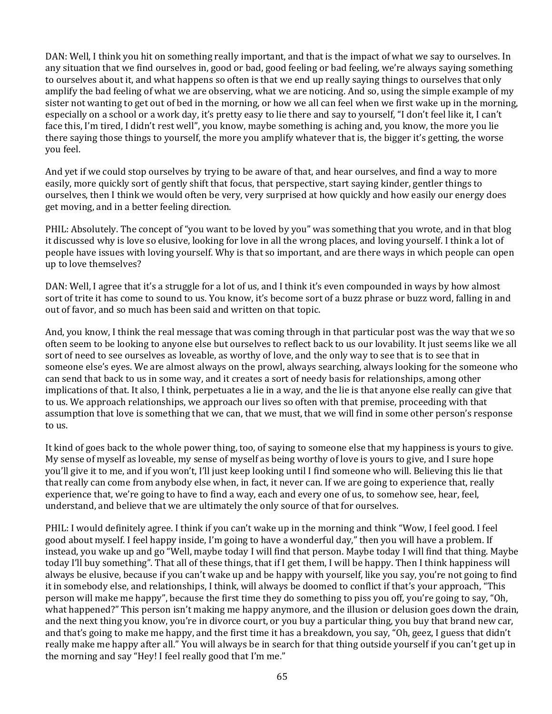DAN: Well, I think you hit on something really important, and that is the impact of what we say to ourselves. In any situation that we find ourselves in, good or bad, good feeling or bad feeling, we're always saying something to ourselves about it, and what happens so often is that we end up really saying things to ourselves that only amplify the bad feeling of what we are observing, what we are noticing. And so, using the simple example of my sister not wanting to get out of bed in the morning, or how we all can feel when we first wake up in the morning, especially on a school or a work day, it's pretty easy to lie there and say to yourself, "I don't feel like it, I can't face this, I'm tired, I didn't rest well", you know, maybe something is aching and, you know, the more you lie there saying those things to yourself, the more you amplify whatever that is, the bigger it's getting, the worse you feel.

And yet if we could stop ourselves by trying to be aware of that, and hear ourselves, and find a way to more easily, more quickly sort of gently shift that focus, that perspective, start saying kinder, gentler things to ourselves, then I think we would often be very, very surprised at how quickly and how easily our energy does get moving, and in a better feeling direction.

PHIL: Absolutely. The concept of "you want to be loved by you" was something that you wrote, and in that blog it discussed why is love so elusive, looking for love in all the wrong places, and loving yourself. I think a lot of people have issues with loving yourself. Why is that so important, and are there ways in which people can open up to love themselves?

DAN: Well, I agree that it's a struggle for a lot of us, and I think it's even compounded in ways by how almost sort of trite it has come to sound to us. You know, it's become sort of a buzz phrase or buzz word, falling in and out of favor, and so much has been said and written on that topic.

And, you know, I think the real message that was coming through in that particular post was the way that we so often seem to be looking to anyone else but ourselves to reflect back to us our lovability. It just seems like we all sort of need to see ourselves as loveable, as worthy of love, and the only way to see that is to see that in someone else's eyes. We are almost always on the prowl, always searching, always looking for the someone who can send that back to us in some way, and it creates a sort of needy basis for relationships, among other implications of that. It also, I think, perpetuates a lie in a way, and the lie is that anyone else really can give that to us. We approach relationships, we approach our lives so often with that premise, proceeding with that assumption that love is something that we can, that we must, that we will find in some other person's response to us.

It kind of goes back to the whole power thing, too, of saying to someone else that my happiness is yours to give. My sense of myself as loveable, my sense of myself as being worthy of love is yours to give, and I sure hope you'll give it to me, and if you won't, I'll just keep looking until I find someone who will. Believing this lie that that really can come from anybody else when, in fact, it never can. If we are going to experience that, really experience that, we're going to have to find a way, each and every one of us, to somehow see, hear, feel, understand, and believe that we are ultimately the only source of that for ourselves.

PHIL: I would definitely agree. I think if you can't wake up in the morning and think "Wow, I feel good. I feel good about myself. I feel happy inside, I'm going to have a wonderful day," then you will have a problem. If instead, you wake up and go "Well, maybe today I will find that person. Maybe today I will find that thing. Maybe today I'll buy something". That all of these things, that if I get them, I will be happy. Then I think happiness will always be elusive, because if you can't wake up and be happy with yourself, like you say, you're not going to find it in somebody else, and relationships, I think, will always be doomed to conflict if that's your approach, "This person will make me happy", because the first time they do something to piss you off, you're going to say, "Oh, what happened?" This person isn't making me happy anymore, and the illusion or delusion goes down the drain, and the next thing you know, you're in divorce court, or you buy a particular thing, you buy that brand new car, and that's going to make me happy, and the first time it has a breakdown, you say, "Oh, geez, I guess that didn't really make me happy after all." You will always be in search for that thing outside yourself if you can't get up in the morning and say "Hey! I feel really good that I'm me."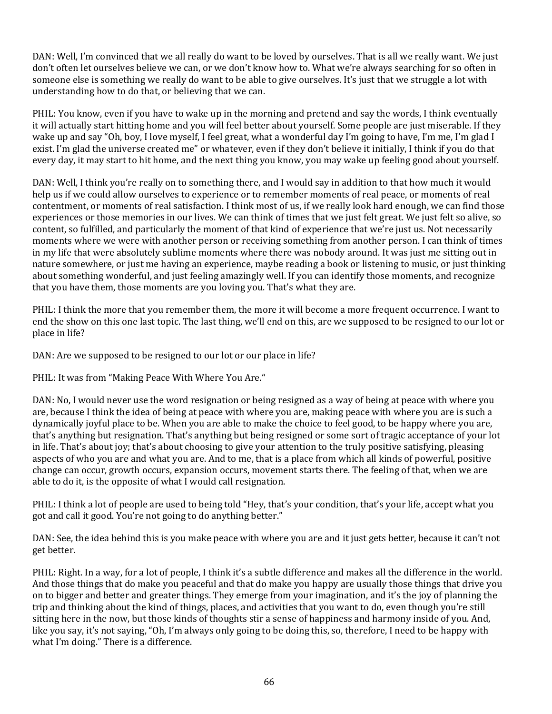DAN: Well, I'm convinced that we all really do want to be loved by ourselves. That is all we really want. We just don't often let ourselves believe we can, or we don't know how to. What we're always searching for so often in someone else is something we really do want to be able to give ourselves. It's just that we struggle a lot with understanding how to do that, or believing that we can.

PHIL: You know, even if you have to wake up in the morning and pretend and say the words, I think eventually it will actually start hitting home and you will feel better about yourself. Some people are just miserable. If they wake up and say "Oh, boy, I love myself, I feel great, what a wonderful day I'm going to have, I'm me, I'm glad I exist. I'm glad the universe created me" or whatever, even if they don't believe it initially, I think if you do that every day, it may start to hit home, and the next thing you know, you may wake up feeling good about yourself.

DAN: Well, I think you're really on to something there, and I would say in addition to that how much it would help us if we could allow ourselves to experience or to remember moments of real peace, or moments of real contentment, or moments of real satisfaction. I think most of us, if we really look hard enough, we can find those experiences or those memories in our lives. We can think of times that we just felt great. We just felt so alive, so content, so fulfilled, and particularly the moment of that kind of experience that we're just us. Not necessarily moments where we were with another person or receiving something from another person. I can think of times in my life that were absolutely sublime moments where there was nobody around. It was just me sitting out in nature somewhere, or just me having an experience, maybe reading a book or listening to music, or just thinking about something wonderful, and just feeling amazingly well. If you can identify those moments, and recognize that you have them, those moments are you loving you. That's what they are.

PHIL: I think the more that you remember them, the more it will become a more frequent occurrence. I want to end the show on this one last topic. The last thing, we'll end on this, are we supposed to be resigned to our lot or place in life?

DAN: Are we supposed to be resigned to our lot or our place in life?

PHIL: It was from "Making Peace With Where You Are."

DAN: No, I would never use the word resignation or being resigned as a way of being at peace with where you are, because I think the idea of being at peace with where you are, making peace with where you are is such a dynamically joyful place to be. When you are able to make the choice to feel good, to be happy where you are, that's anything but resignation. That's anything but being resigned or some sort of tragic acceptance of your lot in life. That's about joy; that's about choosing to give your attention to the truly positive satisfying, pleasing aspects of who you are and what you are. And to me, that is a place from which all kinds of powerful, positive change can occur, growth occurs, expansion occurs, movement starts there. The feeling of that, when we are able to do it, is the opposite of what I would call resignation.

PHIL: I think a lot of people are used to being told "Hey, that's your condition, that's your life, accept what you got and call it good. You're not going to do anything better."

DAN: See, the idea behind this is you make peace with where you are and it just gets better, because it can't not get better.

PHIL: Right. In a way, for a lot of people, I think it's a subtle difference and makes all the difference in the world. And those things that do make you peaceful and that do make you happy are usually those things that drive you on to bigger and better and greater things. They emerge from your imagination, and it's the joy of planning the trip and thinking about the kind of things, places, and activities that you want to do, even though you're still sitting here in the now, but those kinds of thoughts stir a sense of happiness and harmony inside of you. And, like you say, it's not saying, "Oh, I'm always only going to be doing this, so, therefore, I need to be happy with what I'm doing." There is a difference.